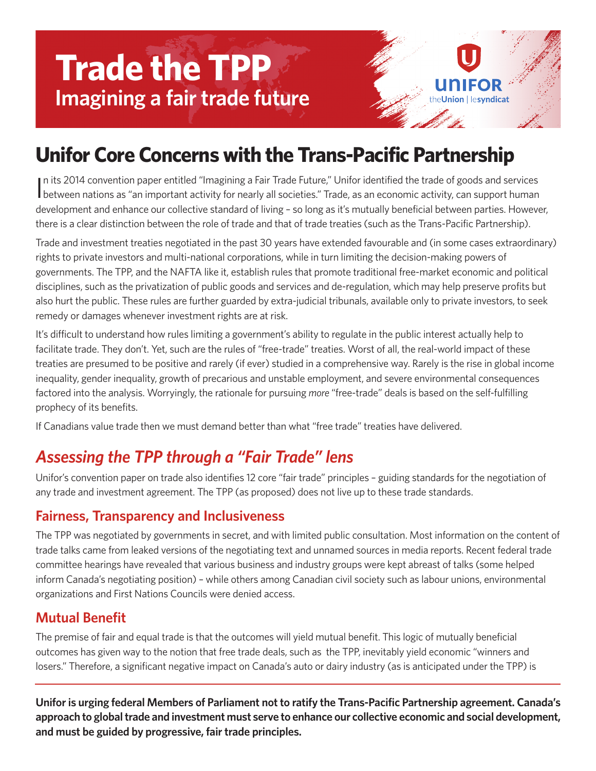# **Trade the TPP Imagining a fair trade future**

## **Unifor Core Concerns with the Trans-Pacific Partnership**

In its 2014 convention paper entitled "Imagining a Fair Trade Future," Unifor identified the trade of goods and services<br>between nations as "an important activity for nearly all societies." Trade, as an economic activity, n its 2014 convention paper entitled "Imagining a Fair Trade Future," Unifor identified the trade of goods and services development and enhance our collective standard of living – so long as it's mutually beneficial between parties. However, there is a clear distinction between the role of trade and that of trade treaties (such as the Trans-Pacific Partnership).

ion | lesvndicat

Trade and investment treaties negotiated in the past 30 years have extended favourable and (in some cases extraordinary) rights to private investors and multi-national corporations, while in turn limiting the decision-making powers of governments. The TPP, and the NAFTA like it, establish rules that promote traditional free-market economic and political disciplines, such as the privatization of public goods and services and de-regulation, which may help preserve profits but also hurt the public. These rules are further guarded by extra-judicial tribunals, available only to private investors, to seek remedy or damages whenever investment rights are at risk.

It's difficult to understand how rules limiting a government's ability to regulate in the public interest actually help to facilitate trade. They don't. Yet, such are the rules of "free-trade" treaties. Worst of all, the real-world impact of these treaties are presumed to be positive and rarely (if ever) studied in a comprehensive way. Rarely is the rise in global income inequality, gender inequality, growth of precarious and unstable employment, and severe environmental consequences factored into the analysis. Worryingly, the rationale for pursuing *more* "free-trade" deals is based on the self-fulfilling prophecy of its benefits.

If Canadians value trade then we must demand better than what "free trade" treaties have delivered.

### *Assessing the TPP through a "Fair Trade" lens*

Unifor's convention paper on trade also identifies 12 core "fair trade" principles – guiding standards for the negotiation of any trade and investment agreement. The TPP (as proposed) does not live up to these trade standards.

#### **Fairness, Transparency and Inclusiveness**

The TPP was negotiated by governments in secret, and with limited public consultation. Most information on the content of trade talks came from leaked versions of the negotiating text and unnamed sources in media reports. Recent federal trade committee hearings have revealed that various business and industry groups were kept abreast of talks (some helped inform Canada's negotiating position) – while others among Canadian civil society such as labour unions, environmental organizations and First Nations Councils were denied access.

#### **Mutual Benefit**

The premise of fair and equal trade is that the outcomes will yield mutual benefit. This logic of mutually beneficial outcomes has given way to the notion that free trade deals, such as the TPP, inevitably yield economic "winners and losers." Therefore, a significant negative impact on Canada's auto or dairy industry (as is anticipated under the TPP) is

**Uniforis urging federal Members of Parliament not to ratify the Trans-Pacific Partnership agreement. Canada's approach to globaltrade and investment must serve to enhance our collective economic and social development, and must be guided by progressive, fair trade principles.**